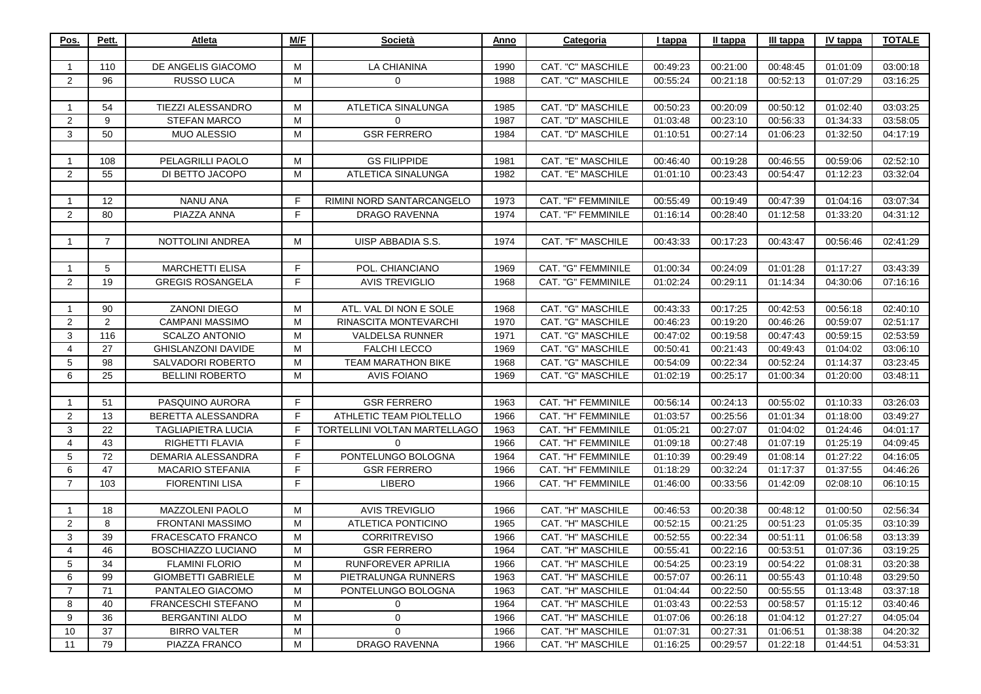| 01:01:09<br>03:00:18<br>01:07:29<br>03:16:25<br>03:03:25<br>01:02:40<br>01:34:33<br>03:58:05<br>01:32:50<br>04:17:19<br>00:59:06<br>02:52:10<br>01:12:23<br>03:32:04<br>03:07:34<br>01:04:16<br>01:33:20<br>04:31:12 | 00:48:45<br>00:52:13<br>00:50:12<br>00:56:33<br>01:06:23<br>00:46:55<br>00:54:47 | 00:21:00<br>00:21:18<br>00:20:09<br>00:23:10<br>00:27:14<br>00:19:28<br>00:23:43 | 00:49:23<br>00:55:24<br>00:50:23<br>01:03:48<br>01:10:51 | CAT. "C" MASCHILE<br>CAT. "C" MASCHILE<br>CAT. "D" MASCHILE | 1990<br>1988 | <b>LA CHIANINA</b><br>0      | M  | DE ANGELIS GIACOMO        | 110               | $\mathbf{1}$   |
|----------------------------------------------------------------------------------------------------------------------------------------------------------------------------------------------------------------------|----------------------------------------------------------------------------------|----------------------------------------------------------------------------------|----------------------------------------------------------|-------------------------------------------------------------|--------------|------------------------------|----|---------------------------|-------------------|----------------|
|                                                                                                                                                                                                                      |                                                                                  |                                                                                  |                                                          |                                                             |              |                              |    |                           |                   |                |
|                                                                                                                                                                                                                      |                                                                                  |                                                                                  |                                                          |                                                             |              |                              |    |                           |                   |                |
|                                                                                                                                                                                                                      |                                                                                  |                                                                                  |                                                          |                                                             |              |                              | M  | <b>RUSSO LUCA</b>         | 96                | 2              |
|                                                                                                                                                                                                                      |                                                                                  |                                                                                  |                                                          |                                                             |              |                              |    |                           |                   |                |
|                                                                                                                                                                                                                      |                                                                                  |                                                                                  |                                                          |                                                             | 1985         | ATLETICA SINALUNGA           | M  | TIEZZI ALESSANDRO         | 54                | $\mathbf{1}$   |
|                                                                                                                                                                                                                      |                                                                                  |                                                                                  |                                                          | CAT. "D" MASCHILE                                           | 1987         | $\Omega$                     | M  | <b>STEFAN MARCO</b>       | 9                 | 2              |
|                                                                                                                                                                                                                      |                                                                                  |                                                                                  |                                                          | CAT. "D" MASCHILE                                           | 1984         | <b>GSR FERRERO</b>           | M  | <b>MUO ALESSIO</b>        | 50                | 3              |
|                                                                                                                                                                                                                      |                                                                                  |                                                                                  |                                                          |                                                             |              |                              |    |                           |                   |                |
|                                                                                                                                                                                                                      |                                                                                  |                                                                                  | 00:46:40                                                 | CAT. "E" MASCHILE                                           | 1981         | <b>GS FILIPPIDE</b>          | M  | PELAGRILLI PAOLO          | 108               | 1              |
|                                                                                                                                                                                                                      |                                                                                  |                                                                                  | 01:01:10                                                 | CAT. "E" MASCHILE                                           | 1982         | <b>ATLETICA SINALUNGA</b>    | M  | DI BETTO JACOPO           | 55                | $\overline{2}$ |
|                                                                                                                                                                                                                      |                                                                                  |                                                                                  |                                                          |                                                             |              |                              |    |                           |                   |                |
|                                                                                                                                                                                                                      | 00:47:39                                                                         | 00:19:49                                                                         | 00:55:49                                                 | CAT. "F" FEMMINILE                                          | 1973         | RIMINI NORD SANTARCANGELO    | F. | <b>NANU ANA</b>           | $12 \overline{ }$ | $\mathbf{1}$   |
|                                                                                                                                                                                                                      | 01:12:58                                                                         | 00:28:40                                                                         | 01:16:14                                                 | CAT. "F" FEMMINILE                                          | 1974         | <b>DRAGO RAVENNA</b>         | F. | PIAZZA ANNA               | 80                | 2              |
|                                                                                                                                                                                                                      |                                                                                  |                                                                                  |                                                          |                                                             |              |                              |    |                           |                   |                |
| 00:56:46<br>02:41:29                                                                                                                                                                                                 | 00:43:47                                                                         | 00:17:23                                                                         | 00:43:33                                                 | CAT. "F" MASCHILE                                           | 1974         | UISP ABBADIA S.S.            | М  | NOTTOLINI ANDREA          | $\overline{7}$    | -1             |
|                                                                                                                                                                                                                      |                                                                                  |                                                                                  |                                                          |                                                             |              |                              |    |                           |                   |                |
| 01:17:27<br>03:43:39                                                                                                                                                                                                 | 01:01:28                                                                         | 00:24:09                                                                         | 01:00:34                                                 | CAT. "G" FEMMINILE                                          | 1969         | POL. CHIANCIANO              | F. | <b>MARCHETTI ELISA</b>    | 5                 | 1              |
| 04:30:06<br>07:16:16                                                                                                                                                                                                 | 01:14:34                                                                         | 00:29:11                                                                         | 01:02:24                                                 | CAT. "G" FEMMINILE                                          | 1968         | <b>AVIS TREVIGLIO</b>        | F. | <b>GREGIS ROSANGELA</b>   | 19                | $\overline{2}$ |
|                                                                                                                                                                                                                      |                                                                                  |                                                                                  |                                                          |                                                             |              |                              |    |                           |                   |                |
| 00:56:18<br>02:40:10                                                                                                                                                                                                 | 00:42:53                                                                         | 00:17:25                                                                         |                                                          | CAT. "G" MASCHILE                                           | 1968         | ATL. VAL DI NON E SOLE       | M  | ZANONI DIEGO              | 90                | $\mathbf{1}$   |
| 00:59:07<br>02:51:17                                                                                                                                                                                                 | 00:46:26                                                                         | 00:19:20                                                                         | 00:46:23                                                 | CAT. "G" MASCHILE                                           | 1970         | RINASCITA MONTEVARCHI        | м  | <b>CAMPANI MASSIMO</b>    | 2                 | $\overline{2}$ |
| 00:59:15<br>02:53:59                                                                                                                                                                                                 | 00:47:43                                                                         | 00:19:58                                                                         | 00:47:02                                                 | <b>CAT. "G" MASCHILE</b>                                    | 1971         | <b>VALDELSA RUNNER</b>       | M  | <b>SCALZO ANTONIO</b>     | 116               | 3              |
| 01:04:02<br>03:06:10                                                                                                                                                                                                 | 00:49:43                                                                         | 00:21:43                                                                         | 00:50:41                                                 | CAT. "G" MASCHILE                                           | 1969         | <b>FALCHI LECCO</b>          | M  | <b>GHISLANZONI DAVIDE</b> | 27                | 4              |
| 01:14:37<br>03:23:45                                                                                                                                                                                                 | 00:52:24                                                                         | 00:22:34                                                                         | 00:54:09                                                 |                                                             | 1968         | <b>TEAM MARATHON BIKE</b>    | М  | SALVADORI ROBERTO         | 98                | 5              |
| 01:20:00<br>03:48:11                                                                                                                                                                                                 | 01:00:34                                                                         | 00:25:17                                                                         | 01:02:19                                                 | <b>CAT. "G" MASCHILE</b>                                    | 1969         | <b>AVIS FOIANO</b>           | M  | <b>BELLINI ROBERTO</b>    | 25                | 6              |
|                                                                                                                                                                                                                      |                                                                                  |                                                                                  |                                                          |                                                             |              |                              |    |                           |                   |                |
| 01:10:33<br>03:26:03                                                                                                                                                                                                 | 00:55:02                                                                         | 00:24:13                                                                         | 00:56:14                                                 | CAT. "H" FEMMINILE                                          | 1963         | <b>GSR FERRERO</b>           | F. | PASQUINO AURORA           | 51                | $\mathbf{1}$   |
| 01:18:00<br>03:49:27                                                                                                                                                                                                 | 01:01:34                                                                         | 00:25:56                                                                         | 01:03:57                                                 | CAT. "H" FEMMINILE                                          | 1966         | ATHLETIC TEAM PIOLTELLO      | F. | BERETTA ALESSANDRA        | 13                | 2              |
| 01:24:46<br>04:01:17                                                                                                                                                                                                 | 01:04:02                                                                         | 00:27:07                                                                         | 01:05:21                                                 | CAT. "H" FEMMINILE                                          | 1963         | TORTELLINI VOLTAN MARTELLAGO | F. | <b>TAGLIAPIETRA LUCIA</b> | 22                | 3              |
| 01:25:19<br>04:09:45                                                                                                                                                                                                 | 01:07:19                                                                         | 00:27:48                                                                         | 01:09:18                                                 | CAT. "H" FEMMINILE                                          | 1966         | $\Omega$                     | F. | RIGHETTI FLAVIA           | 43                | 4              |
| 01:27:22<br>04:16:05                                                                                                                                                                                                 | 01:08:14                                                                         | 00:29:49                                                                         | 01:10:39                                                 | CAT. "H" FEMMINILE                                          | 1964         | PONTELUNGO BOLOGNA           | F. | DEMARIA ALESSANDRA        | 72                | 5              |
| 01:37:55<br>04:46:26                                                                                                                                                                                                 | 01:17:37                                                                         | 00:32:24                                                                         | 01:18:29                                                 | CAT. "H" FEMMINILE                                          | 1966         | <b>GSR FERRERO</b>           | F. | <b>MACARIO STEFANIA</b>   | 47                | 6              |
| 02:08:10<br>06:10:15                                                                                                                                                                                                 | 01:42:09                                                                         | 00:33:56                                                                         | 01:46:00                                                 | CAT. "H" FEMMINILE                                          | 1966         | <b>LIBERO</b>                | F. | <b>FIORENTINI LISA</b>    | 103               | $\overline{7}$ |
|                                                                                                                                                                                                                      |                                                                                  |                                                                                  |                                                          |                                                             |              |                              |    |                           |                   |                |
| 02:56:34<br>01:00:50                                                                                                                                                                                                 | 00:48:12                                                                         | 00:20:38                                                                         | 00:46:53                                                 | CAT. "H" MASCHILE                                           | 1966         | <b>AVIS TREVIGLIO</b>        | M  | MAZZOLENI PAOLO           | 18                | -1             |
| 01:05:35<br>03:10:39                                                                                                                                                                                                 | 00:51:23                                                                         | 00:21:25                                                                         | 00:52:15                                                 | CAT. "H" MASCHILE                                           | 1965         | <b>ATLETICA PONTICINO</b>    | M  | FRONTANI MASSIMO          | 8                 | $\overline{2}$ |
| 01:06:58<br>03:13:39                                                                                                                                                                                                 | 00:51:11                                                                         | 00:22:34                                                                         | 00:52:55                                                 | CAT. "H" MASCHILE                                           | 1966         | <b>CORRITREVISO</b>          | M  | FRACESCATO FRANCO         | 39                | 3              |
| 01:07:36<br>03:19:25                                                                                                                                                                                                 | 00:53:51                                                                         | 00:22:16                                                                         | 00:55:41                                                 | CAT. "H" MASCHILE                                           | 1964         | <b>GSR FERRERO</b>           | M  | BOSCHIAZZO LUCIANO        | 46                | $\overline{4}$ |
| 03:20:38<br>01:08:31                                                                                                                                                                                                 | 00:54:22                                                                         | 00:23:19                                                                         | 00:54:25                                                 | CAT. "H" MASCHILE                                           | 1966         | RUNFOREVER APRILIA           | M  | <b>FLAMINI FLORIO</b>     | 34                | 5              |
| 01:10:48<br>03:29:50                                                                                                                                                                                                 | 00:55:43                                                                         | 00:26:11                                                                         | 00:57:07                                                 | CAT. "H" MASCHILE                                           | 1963         | PIETRALUNGA RUNNERS          | М  | <b>GIOMBETTI GABRIELE</b> | 99                | 6              |
| 01:13:48<br>03:37:18                                                                                                                                                                                                 | 00:55:55                                                                         | 00:22:50                                                                         | 01:04:44                                                 | CAT. "H" MASCHILE                                           | 1963         | PONTELUNGO BOLOGNA           | М  | PANTALEO GIACOMO          | 71                | $\overline{7}$ |
| 01:15:12<br>03:40:46                                                                                                                                                                                                 | 00:58:57                                                                         | 00:22:53                                                                         | 01:03:43                                                 | CAT. "H" MASCHILE                                           | 1964         | 0                            | M  | FRANCESCHI STEFANO        | 40                | 8              |
| 01:27:27<br>04:05:04                                                                                                                                                                                                 | 01:04:12                                                                         | 00:26:18                                                                         | 01:07:06                                                 | CAT. "H" MASCHILE                                           | 1966         | 0                            | M  | <b>BERGANTINI ALDO</b>    | 36                | 9              |
| 01:38:38<br>04:20:32                                                                                                                                                                                                 | 01:06:51                                                                         | 00:27:31                                                                         | 01:07:31                                                 | CAT. "H" MASCHILE                                           | 1966         | $\Omega$                     | M  | <b>BIRRO VALTER</b>       | 37                | 10             |
| 01:44:51<br>04:53:31                                                                                                                                                                                                 |                                                                                  | 00:29:57                                                                         | 01:16:25                                                 | CAT. "H" MASCHILE                                           | 1966         |                              | М  | PIAZZA FRANCO             |                   | 11             |
|                                                                                                                                                                                                                      | 01:22:18                                                                         |                                                                                  | 00:43:33                                                 | CAT. "G" MASCHILE                                           |              | DRAGO RAVENNA                |    |                           | 79                |                |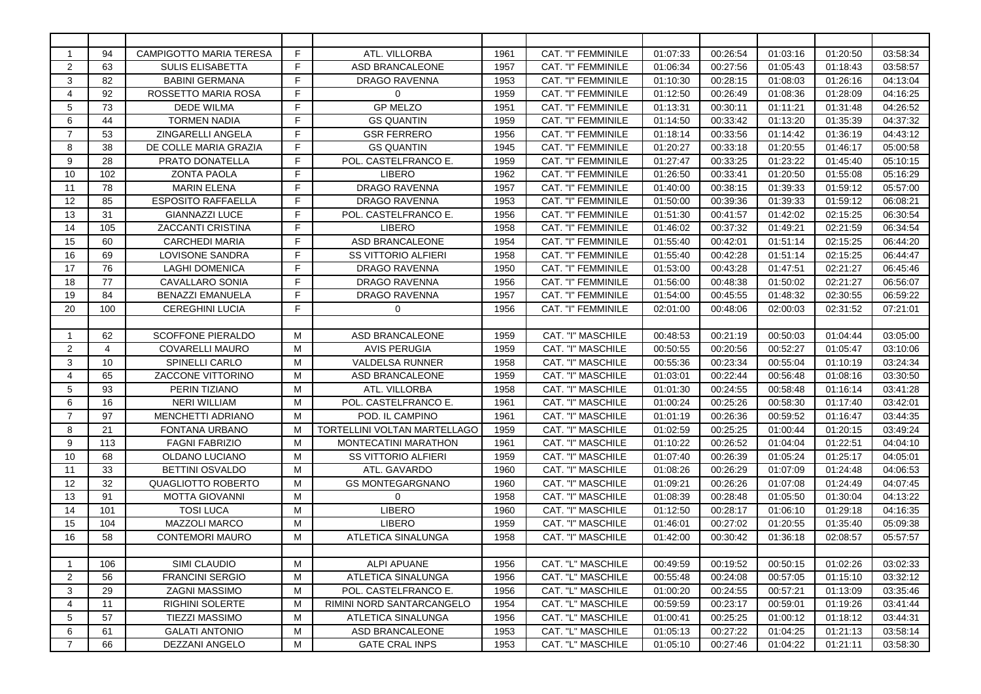| -1             | 94              | <b>CAMPIGOTTO MARIA TERESA</b> | F. | ATL. VILLORBA                | 1961 | CAT. "I" FEMMINILE       | 01:07:33 | 00:26:54 | 01:03:16 | 01:20:50 | 03:58:34 |
|----------------|-----------------|--------------------------------|----|------------------------------|------|--------------------------|----------|----------|----------|----------|----------|
| 2              | 63              | <b>SULIS ELISABETTA</b>        | F. | ASD BRANCALEONE              | 1957 | CAT. "I" FEMMINILE       | 01:06:34 | 00:27:56 | 01:05:43 | 01:18:43 | 03:58:57 |
| 3              | 82              | <b>BABINI GERMANA</b>          | F  | DRAGO RAVENNA                | 1953 | CAT. "I" FEMMINILE       | 01:10:30 | 00:28:15 | 01:08:03 | 01:26:16 | 04:13:04 |
| 4              | 92              | ROSSETTO MARIA ROSA            | F  | $\Omega$                     | 1959 | CAT. "I" FEMMINILE       | 01:12:50 | 00:26:49 | 01:08:36 | 01:28:09 | 04:16:25 |
| 5              | 73              | <b>DEDE WILMA</b>              | F  | <b>GP MELZO</b>              | 1951 | CAT. "I" FEMMINILE       | 01:13:31 | 00:30:11 | 01:11:21 | 01:31:48 | 04:26:52 |
| 6              | 44              | <b>TORMEN NADIA</b>            | F  | <b>GS QUANTIN</b>            | 1959 | CAT. "I" FEMMINILE       | 01:14:50 | 00:33:42 | 01:13:20 | 01:35:39 | 04:37:32 |
| 7              | 53              | <b>ZINGARELLI ANGELA</b>       | F. | <b>GSR FERRERO</b>           | 1956 | CAT. "I" FEMMINILE       | 01:18:14 | 00:33:56 | 01:14:42 | 01:36:19 | 04:43:12 |
| 8              | 38              | DE COLLE MARIA GRAZIA          | F  | <b>GS QUANTIN</b>            | 1945 | CAT. "I" FEMMINILE       | 01:20:27 | 00:33:18 | 01:20:55 | 01:46:17 | 05:00:58 |
| 9              | 28              | <b>PRATO DONATELLA</b>         | F  | POL. CASTELFRANCO E.         | 1959 | CAT. "I" FEMMINILE       | 01:27:47 | 00:33:25 | 01:23:22 | 01:45:40 | 05:10:15 |
| 10             | 102             | <b>ZONTA PAOLA</b>             | F  | <b>LIBERO</b>                | 1962 | CAT. "I" FEMMINILE       | 01:26:50 | 00:33:41 | 01:20:50 | 01:55:08 | 05:16:29 |
| 11             | 78              | <b>MARIN ELENA</b>             | F  | <b>DRAGO RAVENNA</b>         | 1957 | CAT. "I" FEMMINILE       | 01:40:00 | 00:38:15 | 01:39:33 | 01:59:12 | 05:57:00 |
| 12             | 85              | <b>ESPOSITO RAFFAELLA</b>      | F. | DRAGO RAVENNA                | 1953 | CAT. "I" FEMMINILE       | 01:50:00 | 00:39:36 | 01:39:33 | 01:59:12 | 06:08:21 |
| 13             | 31              | <b>GIANNAZZI LUCE</b>          | F. | POL. CASTELFRANCO E.         | 1956 | CAT. "I" FEMMINILE       | 01:51:30 | 00:41:57 | 01:42:02 | 02:15:25 | 06:30:54 |
| 14             | 105             | <b>ZACCANTI CRISTINA</b>       | F. | <b>LIBERO</b>                | 1958 | CAT. "I" FEMMINILE       | 01:46:02 | 00:37:32 | 01:49:21 | 02:21:59 | 06:34:54 |
| 15             | 60              | <b>CARCHEDI MARIA</b>          | F. | ASD BRANCALEONE              | 1954 | CAT. "I" FEMMINILE       | 01:55:40 | 00:42:01 | 01:51:14 | 02:15:25 | 06:44:20 |
| 16             | 69              | LOVISONE SANDRA                | F. | <b>SS VITTORIO ALFIERI</b>   | 1958 | CAT. "I" FEMMINILE       | 01:55:40 | 00:42:28 | 01:51:14 | 02:15:25 | 06:44:47 |
| 17             | 76              | <b>LAGHI DOMENICA</b>          | F  | <b>DRAGO RAVENNA</b>         | 1950 | CAT. "I" FEMMINILE       | 01:53:00 | 00:43:28 | 01:47:51 | 02:21:27 | 06:45:46 |
| 18             | 77              | <b>CAVALLARO SONIA</b>         | F  | <b>DRAGO RAVENNA</b>         | 1956 | CAT. "I" FEMMINILE       | 01:56:00 | 00:48:38 | 01:50:02 | 02:21:27 | 06:56:07 |
| 19             | 84              | <b>BENAZZI EMANUELA</b>        | F  | <b>DRAGO RAVENNA</b>         | 1957 | CAT. "I" FEMMINILE       | 01:54:00 | 00:45:55 | 01:48:32 | 02:30:55 | 06:59:22 |
| 20             | 100             | <b>CEREGHINI LUCIA</b>         | F. | $\mathbf 0$                  | 1956 | CAT. "I" FEMMINILE       | 02:01:00 | 00:48:06 | 02:00:03 | 02:31:52 | 07:21:01 |
|                |                 |                                |    |                              |      |                          |          |          |          |          |          |
| -1             | 62              | <b>SCOFFONE PIERALDO</b>       | M  | ASD BRANCALEONE              | 1959 | CAT. "I" MASCHILE        | 00:48:53 | 00:21:19 | 00:50:03 | 01:04:44 | 03:05:00 |
| $\overline{2}$ | $\overline{4}$  | <b>COVARELLI MAURO</b>         | M  | <b>AVIS PERUGIA</b>          | 1959 | CAT. "I" MASCHILE        | 00:50:55 | 00:20:56 | 00:52:27 | 01:05:47 | 03:10:06 |
| 3              | 10 <sup>1</sup> | <b>SPINELLI CARLO</b>          | M  | <b>VALDELSA RUNNER</b>       | 1958 | <b>CAT. "I" MASCHILE</b> | 00:55:36 | 00:23:34 | 00:55:04 | 01:10:19 | 03:24:34 |
| 4              | 65              | <b>ZACCONE VITTORINO</b>       | М  | ASD BRANCALEONE              | 1959 | CAT. "I" MASCHILE        | 01:03:01 | 00:22:44 | 00:56:48 | 01:08:16 | 03:30:50 |
| 5              | 93              | PERIN TIZIANO                  | M  | ATL. VILLORBA                | 1958 | CAT. "I" MASCHILE        | 01:01:30 | 00:24:55 | 00:58:48 | 01:16:14 | 03:41:28 |
| 6              | 16              | <b>NERI WILLIAM</b>            | M  | POL. CASTELFRANCO E.         | 1961 | CAT. "I" MASCHILE        | 01:00:24 | 00:25:26 | 00:58:30 | 01:17:40 | 03:42:01 |
| 7              | 97              | <b>MENCHETTI ADRIANO</b>       | M  | POD. IL CAMPINO              | 1961 | CAT. "I" MASCHILE        | 01:01:19 | 00:26:36 | 00:59:52 | 01:16:47 | 03:44:35 |
| 8              | 21              | <b>FONTANA URBANO</b>          | М  | TORTELLINI VOLTAN MARTELLAGO | 1959 | CAT. "I" MASCHILE        | 01:02:59 | 00:25:25 | 01:00:44 | 01:20:15 | 03:49:24 |
| 9              | 113             | <b>FAGNI FABRIZIO</b>          | M  | <b>MONTECATINI MARATHON</b>  | 1961 | CAT. "I" MASCHILE        | 01:10:22 | 00:26:52 | 01:04:04 | 01:22:51 | 04:04:10 |
| 10             | 68              | OLDANO LUCIANO                 | M  | <b>SS VITTORIO ALFIERI</b>   | 1959 | CAT. "I" MASCHILE        | 01:07:40 | 00:26:39 | 01:05:24 | 01:25:17 | 04:05:01 |
| 11             | 33              | <b>BETTINI OSVALDO</b>         | M  | ATL. GAVARDO                 | 1960 | CAT. "I" MASCHILE        | 01:08:26 | 00:26:29 | 01:07:09 | 01:24:48 | 04:06:53 |
| 12             | 32              | <b>QUAGLIOTTO ROBERTO</b>      | M  | <b>GS MONTEGARGNANO</b>      | 1960 | CAT. "I" MASCHILE        | 01:09:21 | 00:26:26 | 01:07:08 | 01:24:49 | 04:07:45 |
| 13             | 91              | <b>MOTTA GIOVANNI</b>          | М  | $\Omega$                     | 1958 | CAT. "I" MASCHILE        | 01:08:39 | 00:28:48 | 01:05:50 | 01:30:04 | 04:13:22 |
| 14             | 101             | <b>TOSI LUCA</b>               | М  | <b>LIBERO</b>                | 1960 | CAT. "I" MASCHILE        | 01:12:50 | 00:28:17 | 01:06:10 | 01:29:18 | 04:16:35 |
| 15             | 104             | MAZZOLI MARCO                  | М  | <b>LIBERO</b>                | 1959 | CAT. "I" MASCHILE        | 01:46:01 | 00:27:02 | 01:20:55 | 01:35:40 | 05:09:38 |
| 16             | 58              | <b>CONTEMORI MAURO</b>         | M  | ATLETICA SINALUNGA           | 1958 | CAT. "I" MASCHILE        | 01:42:00 | 00:30:42 | 01:36:18 | 02:08:57 | 05:57:57 |
|                |                 |                                |    |                              |      |                          |          |          |          |          |          |
| -1             | 106             | SIMI CLAUDIO                   | М  | <b>ALPI APUANE</b>           | 1956 | CAT. "L" MASCHILE        | 00:49:59 | 00:19:52 | 00:50:15 | 01:02:26 | 03:02:33 |
| 2              | 56              | <b>FRANCINI SERGIO</b>         | М  | ATLETICA SINALUNGA           | 1956 | CAT. "L" MASCHILE        | 00:55:48 | 00:24:08 | 00:57:05 | 01:15:10 | 03:32:12 |
| 3              | 29              | <b>ZAGNI MASSIMO</b>           | М  | POL. CASTELFRANCO E.         | 1956 | CAT. "L" MASCHILE        | 01:00:20 | 00:24:55 | 00:57:21 | 01:13:09 | 03:35:46 |
| 4              | 11              | <b>RIGHINI SOLERTE</b>         | M  | RIMINI NORD SANTARCANGELO    | 1954 | CAT. "L" MASCHILE        | 00:59:59 | 00:23:17 | 00:59:01 | 01:19:26 | 03:41:44 |
| 5              | 57              | <b>TIEZZI MASSIMO</b>          | М  | <b>ATLETICA SINALUNGA</b>    | 1956 | CAT. "L" MASCHILE        | 01:00:41 | 00:25:25 | 01:00:12 | 01:18:12 | 03:44:31 |
| 6              | 61              | <b>GALATI ANTONIO</b>          | М  | ASD BRANCALEONE              | 1953 | CAT. "L" MASCHILE        | 01:05:13 | 00:27:22 | 01:04:25 | 01:21:13 | 03:58:14 |
| 7              | 66              | <b>DEZZANI ANGELO</b>          | M  | <b>GATE CRAL INPS</b>        | 1953 | CAT. "L" MASCHILE        | 01:05:10 | 00:27:46 | 01:04:22 | 01:21:11 | 03:58:30 |